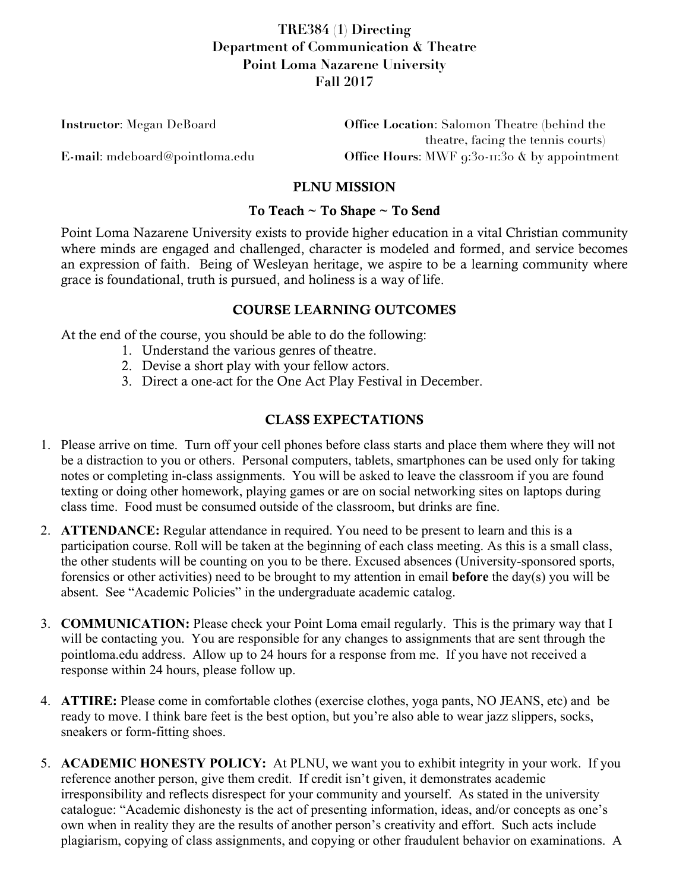# **TRE384 (1) Directing Department of Communication & Theatre Point Loma Nazarene University Fall 2017**

| <b>Instructor:</b> Megan DeBoard | <b>Office Location:</b> Salomon Theatre (behind the                |
|----------------------------------|--------------------------------------------------------------------|
|                                  | theatre, facing the tennis courts)                                 |
| E-mail: mdeboard@pointloma.edu   | Office Hours: MWF $9:30 \cdot \text{II} \cdot 30$ & by appointment |

#### PLNU MISSION

#### To Teach ~ To Shape ~ To Send

Point Loma Nazarene University exists to provide higher education in a vital Christian community where minds are engaged and challenged, character is modeled and formed, and service becomes an expression of faith. Being of Wesleyan heritage, we aspire to be a learning community where grace is foundational, truth is pursued, and holiness is a way of life.

#### COURSE LEARNING OUTCOMES

At the end of the course, you should be able to do the following:

- 1. Understand the various genres of theatre.
- 2. Devise a short play with your fellow actors.
- 3. Direct a one-act for the One Act Play Festival in December.

### CLASS EXPECTATIONS

- 1. Please arrive on time. Turn off your cell phones before class starts and place them where they will not be a distraction to you or others. Personal computers, tablets, smartphones can be used only for taking notes or completing in-class assignments. You will be asked to leave the classroom if you are found texting or doing other homework, playing games or are on social networking sites on laptops during class time. Food must be consumed outside of the classroom, but drinks are fine.
- 2. **ATTENDANCE:** Regular attendance in required. You need to be present to learn and this is a participation course. Roll will be taken at the beginning of each class meeting. As this is a small class, the other students will be counting on you to be there. Excused absences (University-sponsored sports, forensics or other activities) need to be brought to my attention in email **before** the day(s) you will be absent. See "Academic Policies" in the undergraduate academic catalog.
- 3. **COMMUNICATION:** Please check your Point Loma email regularly. This is the primary way that I will be contacting you. You are responsible for any changes to assignments that are sent through the pointloma.edu address. Allow up to 24 hours for a response from me. If you have not received a response within 24 hours, please follow up.
- 4. **ATTIRE:** Please come in comfortable clothes (exercise clothes, yoga pants, NO JEANS, etc) and be ready to move. I think bare feet is the best option, but you're also able to wear jazz slippers, socks, sneakers or form-fitting shoes.
- 5. **ACADEMIC HONESTY POLICY:** At PLNU, we want you to exhibit integrity in your work. If you reference another person, give them credit. If credit isn't given, it demonstrates academic irresponsibility and reflects disrespect for your community and yourself. As stated in the university catalogue: "Academic dishonesty is the act of presenting information, ideas, and/or concepts as one's own when in reality they are the results of another person's creativity and effort. Such acts include plagiarism, copying of class assignments, and copying or other fraudulent behavior on examinations. A